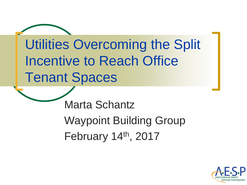Utilities Overcoming the Split Incentive to Reach Office Tenant Spaces

> Marta Schantz Waypoint Building Group February 14th, 2017

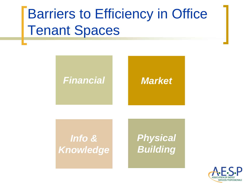## **Barriers to Efficiency in Office** Tenant Spaces

*Financial Market*

#### *Info & Knowledge*

*Physical Building*

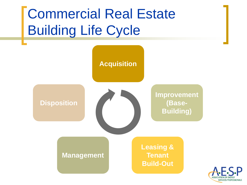## Commercial Real Estate Building Life Cycle



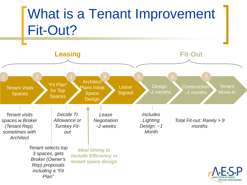

*Tenant selects top 3 spaces, gets Broker (Owner's Rep) proposals including a "Fit Plan"*

*Ideal timing to include Efficiency in tenant space design*

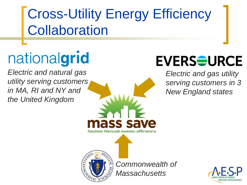## **Cross-Utility Energy Efficiency Collaboration**

# nationalgrid

*Electric and natural gas utility serving customers in MA, RI and NY and the United Kingdom* 



*Commonwealth of Massachusetts*

### **EVERSOURCE**

*Electric and gas utility serving customers in 3 New England states*

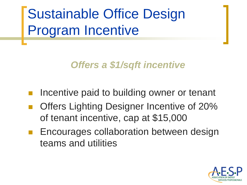Sustainable Office Design Program Incentive

#### *Offers a \$1/sqft incentive*

- Incentive paid to building owner or tenant
- Offers Lighting Designer Incentive of 20% of tenant incentive, cap at \$15,000
- Encourages collaboration between design teams and utilities

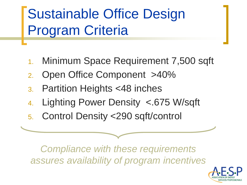Sustainable Office Design Program Criteria

- 1. Minimum Space Requirement 7,500 sqft
- 2. Open Office Component >40%
- 3. Partition Heights <48 inches
- 4. Lighting Power Density <.675 W/sqft
- 5. Control Density <290 sqft/control

*Compliance with these requirements assures availability of program incentives*

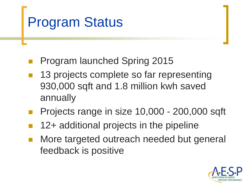# Program Status

- Program launched Spring 2015
- 13 projects complete so far representing 930,000 sqft and 1.8 million kwh saved annually
- Projects range in size 10,000 200,000 sqft
- 12+ additional projects in the pipeline
- More targeted outreach needed but general feedback is positive

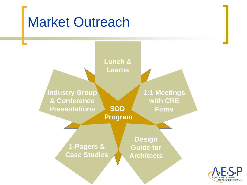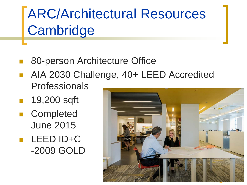## ARC/Architectural Resources **Cambridge**

- 80-person Architecture Office
- AIA 2030 Challenge, 40+ LEED Accredited Professionals
- **19,200 sqft**
- **Completed** June 2015
- LEED ID+C -2009 GOLD

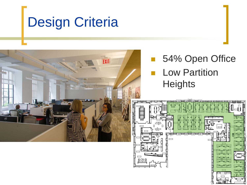# Design Criteria



#### ■ 54% Open Office **Low Partition Heights**

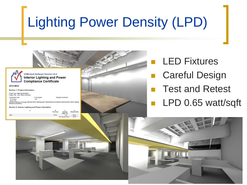# Lighting Power Density (LPD)



- LED Fixtures
- Careful Design
- Test and Retest
- LPD 0.65 watt/sqft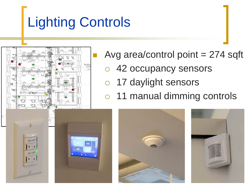# Lighting Controls



#### Avg area/control point  $= 274$  sqft

- 42 occupancy sensors
- 17 daylight sensors
- 11 manual dimming controls

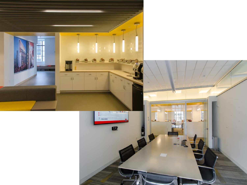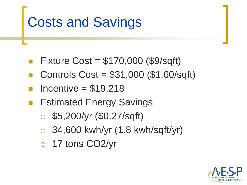## Costs and Savings

- Fixture Cost = \$170,000 (\$9/sqft)
- Controls Cost = \$31,000 (\$1.60/sqft)
- Incentive  $= $19,218$
- Estimated Energy Savings
	- \$5,200/yr (\$0.27/sqft)
	- 34,600 kwh/yr (1.8 kwh/sqft/yr)
	- 17 tons CO2/yr

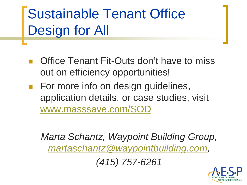Sustainable Tenant Office Design for All

- Office Tenant Fit-Outs don't have to miss out on efficiency opportunities!
- $\blacksquare$  For more info on design guidelines, application details, or case studies, visit [www.masssave.com/SOD](http://www.masssave.com/SOD)

*Marta Schantz, Waypoint Building Group, [martaschantz@waypointbuilding.com,](mailto:martaschantz@waypointbuilding.com)* 

*(415) 757-6261*